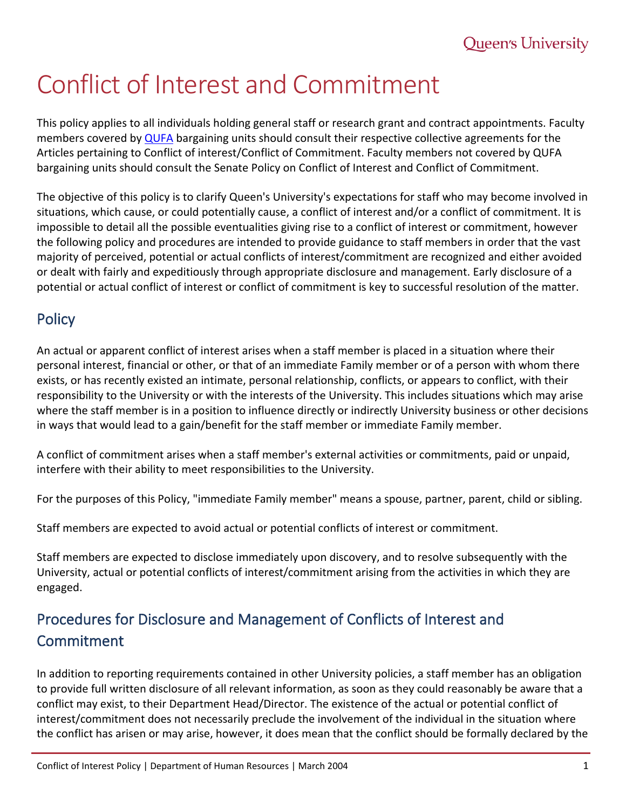# Conflict of Interest and Commitment

This policy applies to all individuals holding general staff or research grant and contract appointments. Faculty members covered by [QUFA](http://www.qufa.ca/) bargaining units should consult their respective collective agreements for the Articles pertaining to Conflict of interest/Conflict of Commitment. Faculty members not covered by QUFA bargaining units should consult the Senate Policy on Conflict of Interest and Conflict of Commitment.

The objective of this policy is to clarify Queen's University's expectations for staff who may become involved in situations, which cause, or could potentially cause, a conflict of interest and/or a conflict of commitment. It is impossible to detail all the possible eventualities giving rise to a conflict of interest or commitment, however the following policy and procedures are intended to provide guidance to staff members in order that the vast majority of perceived, potential or actual conflicts of interest/commitment are recognized and either avoided or dealt with fairly and expeditiously through appropriate disclosure and management. Early disclosure of a potential or actual conflict of interest or conflict of commitment is key to successful resolution of the matter.

## **Policy**

An actual or apparent conflict of interest arises when a staff member is placed in a situation where their personal interest, financial or other, or that of an immediate Family member or of a person with whom there exists, or has recently existed an intimate, personal relationship, conflicts, or appears to conflict, with their responsibility to the University or with the interests of the University. This includes situations which may arise where the staff member is in a position to influence directly or indirectly University business or other decisions in ways that would lead to a gain/benefit for the staff member or immediate Family member.

A conflict of commitment arises when a staff member's external activities or commitments, paid or unpaid, interfere with their ability to meet responsibilities to the University.

For the purposes of this Policy, "immediate Family member" means a spouse, partner, parent, child or sibling.

Staff members are expected to avoid actual or potential conflicts of interest or commitment.

Staff members are expected to disclose immediately upon discovery, and to resolve subsequently with the University, actual or potential conflicts of interest/commitment arising from the activities in which they are engaged.

## Procedures for Disclosure and Management of Conflicts of Interest and Commitment

In addition to reporting requirements contained in other University policies, a staff member has an obligation to provide full written disclosure of all relevant information, as soon as they could reasonably be aware that a conflict may exist, to their Department Head/Director. The existence of the actual or potential conflict of interest/commitment does not necessarily preclude the involvement of the individual in the situation where the conflict has arisen or may arise, however, it does mean that the conflict should be formally declared by the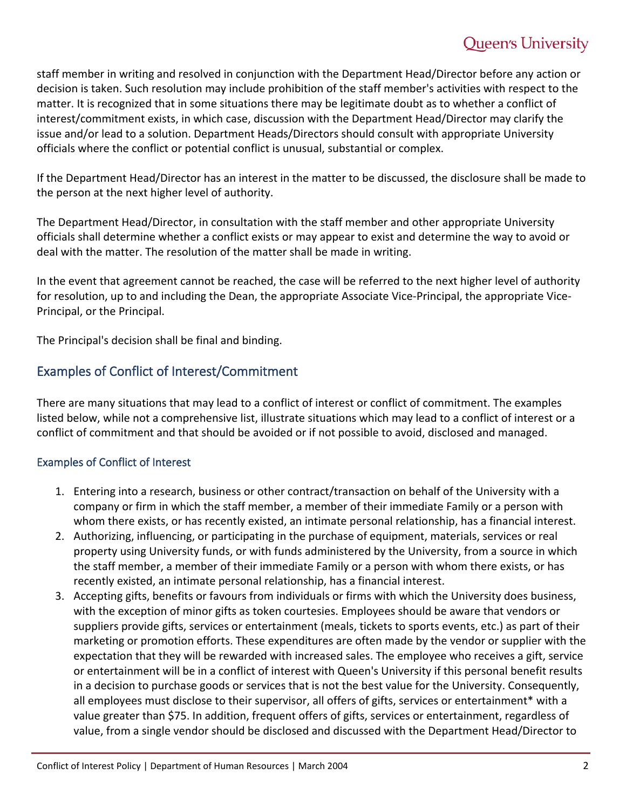staff member in writing and resolved in conjunction with the Department Head/Director before any action or decision is taken. Such resolution may include prohibition of the staff member's activities with respect to the matter. It is recognized that in some situations there may be legitimate doubt as to whether a conflict of interest/commitment exists, in which case, discussion with the Department Head/Director may clarify the issue and/or lead to a solution. Department Heads/Directors should consult with appropriate University officials where the conflict or potential conflict is unusual, substantial or complex.

If the Department Head/Director has an interest in the matter to be discussed, the disclosure shall be made to the person at the next higher level of authority.

The Department Head/Director, in consultation with the staff member and other appropriate University officials shall determine whether a conflict exists or may appear to exist and determine the way to avoid or deal with the matter. The resolution of the matter shall be made in writing.

In the event that agreement cannot be reached, the case will be referred to the next higher level of authority for resolution, up to and including the Dean, the appropriate Associate Vice-Principal, the appropriate Vice-Principal, or the Principal.

The Principal's decision shall be final and binding.

#### Examples of Conflict of Interest/Commitment

There are many situations that may lead to a conflict of interest or conflict of commitment. The examples listed below, while not a comprehensive list, illustrate situations which may lead to a conflict of interest or a conflict of commitment and that should be avoided or if not possible to avoid, disclosed and managed.

#### Examples of Conflict of Interest

- 1. Entering into a research, business or other contract/transaction on behalf of the University with a company or firm in which the staff member, a member of their immediate Family or a person with whom there exists, or has recently existed, an intimate personal relationship, has a financial interest.
- 2. Authorizing, influencing, or participating in the purchase of equipment, materials, services or real property using University funds, or with funds administered by the University, from a source in which the staff member, a member of their immediate Family or a person with whom there exists, or has recently existed, an intimate personal relationship, has a financial interest.
- 3. Accepting gifts, benefits or favours from individuals or firms with which the University does business, with the exception of minor gifts as token courtesies. Employees should be aware that vendors or suppliers provide gifts, services or entertainment (meals, tickets to sports events, etc.) as part of their marketing or promotion efforts. These expenditures are often made by the vendor or supplier with the expectation that they will be rewarded with increased sales. The employee who receives a gift, service or entertainment will be in a conflict of interest with Queen's University if this personal benefit results in a decision to purchase goods or services that is not the best value for the University. Consequently, all employees must disclose to their supervisor, all offers of gifts, services or entertainment\* with a value greater than \$75. In addition, frequent offers of gifts, services or entertainment, regardless of value, from a single vendor should be disclosed and discussed with the Department Head/Director to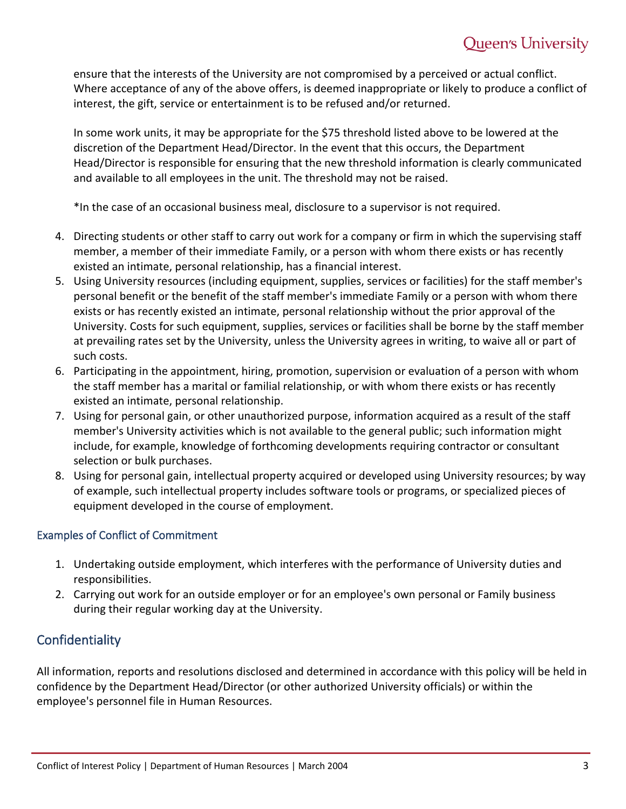ensure that the interests of the University are not compromised by a perceived or actual conflict. Where acceptance of any of the above offers, is deemed inappropriate or likely to produce a conflict of interest, the gift, service or entertainment is to be refused and/or returned.

In some work units, it may be appropriate for the \$75 threshold listed above to be lowered at the discretion of the Department Head/Director. In the event that this occurs, the Department Head/Director is responsible for ensuring that the new threshold information is clearly communicated and available to all employees in the unit. The threshold may not be raised.

\*In the case of an occasional business meal, disclosure to a supervisor is not required.

- 4. Directing students or other staff to carry out work for a company or firm in which the supervising staff member, a member of their immediate Family, or a person with whom there exists or has recently existed an intimate, personal relationship, has a financial interest.
- 5. Using University resources (including equipment, supplies, services or facilities) for the staff member's personal benefit or the benefit of the staff member's immediate Family or a person with whom there exists or has recently existed an intimate, personal relationship without the prior approval of the University. Costs for such equipment, supplies, services or facilities shall be borne by the staff member at prevailing rates set by the University, unless the University agrees in writing, to waive all or part of such costs.
- 6. Participating in the appointment, hiring, promotion, supervision or evaluation of a person with whom the staff member has a marital or familial relationship, or with whom there exists or has recently existed an intimate, personal relationship.
- 7. Using for personal gain, or other unauthorized purpose, information acquired as a result of the staff member's University activities which is not available to the general public; such information might include, for example, knowledge of forthcoming developments requiring contractor or consultant selection or bulk purchases.
- 8. Using for personal gain, intellectual property acquired or developed using University resources; by way of example, such intellectual property includes software tools or programs, or specialized pieces of equipment developed in the course of employment.

#### Examples of Conflict of Commitment

- 1. Undertaking outside employment, which interferes with the performance of University duties and responsibilities.
- 2. Carrying out work for an outside employer or for an employee's own personal or Family business during their regular working day at the University.

### **Confidentiality**

All information, reports and resolutions disclosed and determined in accordance with this policy will be held in confidence by the Department Head/Director (or other authorized University officials) or within the employee's personnel file in Human Resources.